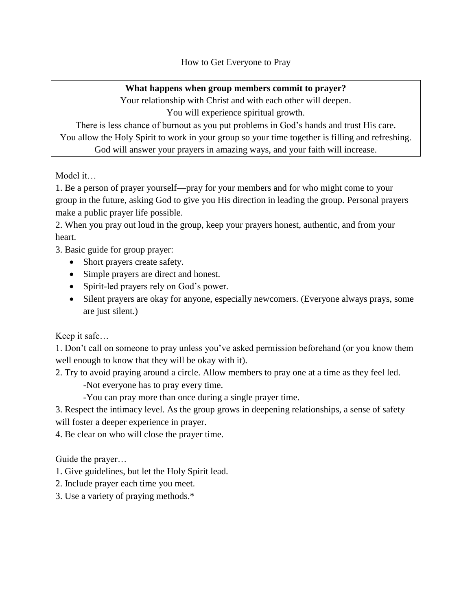How to Get Everyone to Pray

## **What happens when group members commit to prayer?**

Your relationship with Christ and with each other will deepen. You will experience spiritual growth.

There is less chance of burnout as you put problems in God's hands and trust His care. You allow the Holy Spirit to work in your group so your time together is filling and refreshing. God will answer your prayers in amazing ways, and your faith will increase.

Model it…

1. Be a person of prayer yourself—pray for your members and for who might come to your group in the future, asking God to give you His direction in leading the group. Personal prayers make a public prayer life possible.

2. When you pray out loud in the group, keep your prayers honest, authentic, and from your heart.

3. Basic guide for group prayer:

- Short prayers create safety.
- Simple prayers are direct and honest.
- Spirit-led prayers rely on God's power.
- Silent prayers are okay for anyone, especially newcomers. (Everyone always prays, some are just silent.)

Keep it safe…

1. Don't call on someone to pray unless you've asked permission beforehand (or you know them well enough to know that they will be okay with it).

2. Try to avoid praying around a circle. Allow members to pray one at a time as they feel led.

-Not everyone has to pray every time.

-You can pray more than once during a single prayer time.

3. Respect the intimacy level. As the group grows in deepening relationships, a sense of safety will foster a deeper experience in prayer.

4. Be clear on who will close the prayer time.

Guide the prayer…

1. Give guidelines, but let the Holy Spirit lead.

- 2. Include prayer each time you meet.
- 3. Use a variety of praying methods.\*